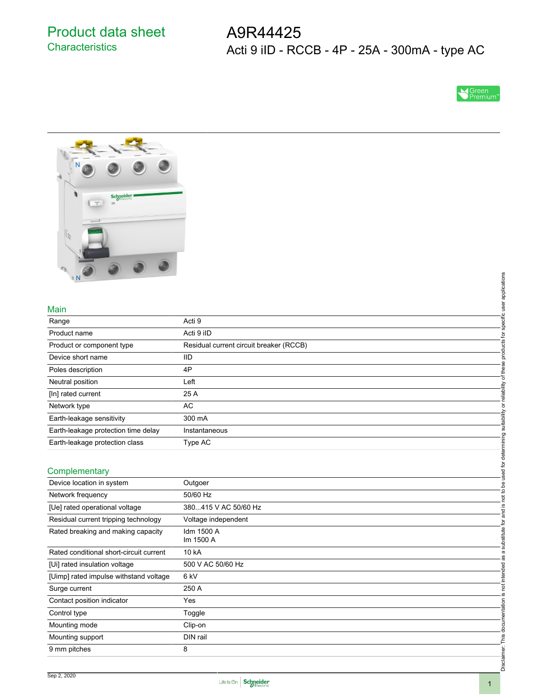Product data sheet **Characteristics** 

A9R44425 Acti 9 iID - RCCB - 4P - 25A - 300mA - type AC





### Main

| $\mathbb{N}$                            |                                         |                                            |
|-----------------------------------------|-----------------------------------------|--------------------------------------------|
|                                         |                                         |                                            |
|                                         |                                         | specific user applications                 |
| Main                                    |                                         |                                            |
| Range                                   | Acti 9                                  |                                            |
| Product name                            | Acti 9 iID                              |                                            |
| Product or component type               | Residual current circuit breaker (RCCB) | products for                               |
| Device short name                       | IID                                     |                                            |
| Poles description                       | 4P                                      |                                            |
| Neutral position                        | Left                                    |                                            |
| [In] rated current                      | 25 A                                    | or reliability of these                    |
| Network type                            | <b>AC</b>                               |                                            |
| Earth-leakage sensitivity               | 300 mA                                  |                                            |
| Earth-leakage protection time delay     | Instantaneous                           |                                            |
| Earth-leakage protection class          | Type AC                                 |                                            |
|                                         |                                         |                                            |
| Complementary                           |                                         |                                            |
| Device location in system               | Outgoer                                 |                                            |
| Network frequency                       | 50/60 Hz                                | not to be used for determining suitability |
| [Ue] rated operational voltage          | 380415 V AC 50/60 Hz                    | $\underline{\omega}$                       |
| Residual current tripping technology    | Voltage independent                     | substitute for and                         |
| Rated breaking and making capacity      | Idm 1500 A                              |                                            |
|                                         | Im 1500 A                               |                                            |
| Rated conditional short-circuit current | 10 kA                                   | as a                                       |
| [Ui] rated insulation voltage           | 500 V AC 50/60 Hz                       |                                            |
| [Uimp] rated impulse withstand voltage  | 6 <sub>kV</sub>                         | not intended                               |
| Surge current                           | 250 A                                   |                                            |
| Contact position indicator              | Yes                                     | <u>ی</u>                                   |
| Control type                            | Toggle                                  |                                            |
| Mounting mode                           | Clip-on                                 |                                            |
| Mounting support                        | DIN rail                                |                                            |
| 9 mm pitches                            | 8                                       | Disclaimer: This documentation             |
|                                         |                                         |                                            |
|                                         |                                         |                                            |

### **Complementary**

| Earth-leakage protection class          | Type AC                 |       |
|-----------------------------------------|-------------------------|-------|
|                                         |                         |       |
| Complementary                           |                         |       |
| Device location in system               | Outgoer                 |       |
| Network frequency                       | 50/60 Hz                |       |
| [Ue] rated operational voltage          | 380415 V AC 50/60 Hz    |       |
| Residual current tripping technology    | Voltage independent     |       |
| Rated breaking and making capacity      | Idm 1500 A<br>Im 1500 A |       |
| Rated conditional short-circuit current | 10 kA                   | ø     |
| [Ui] rated insulation voltage           | 500 V AC 50/60 Hz       | ᢦ     |
| [Uimp] rated impulse withstand voltage  | 6 kV                    |       |
| Surge current                           | 250 A                   |       |
| Contact position indicator              | Yes                     |       |
| Control type                            | Toggle                  |       |
| Mounting mode                           | Clip-on                 |       |
| Mounting support                        | DIN rail                |       |
| 9 mm pitches                            | 8                       |       |
|                                         |                         | Discl |